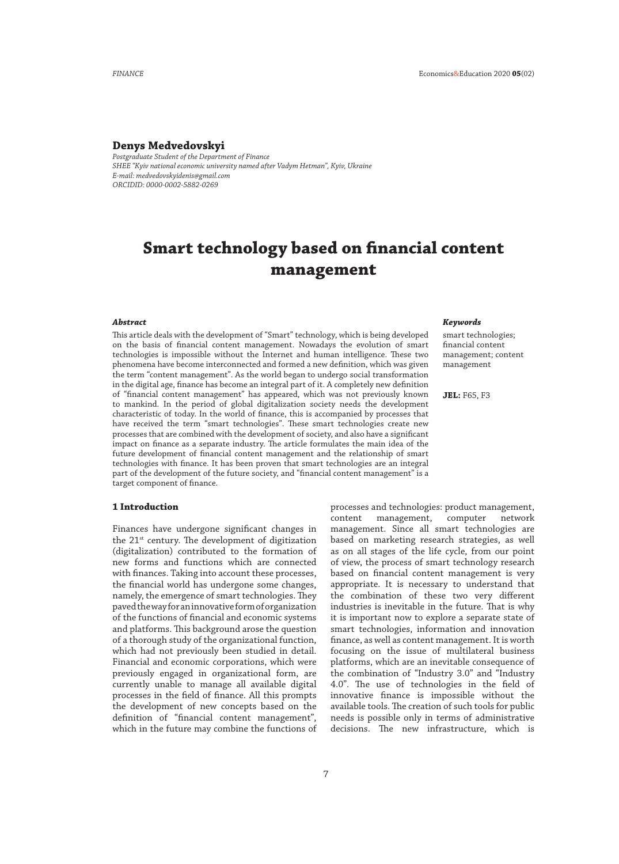#### **Denys Medvedovskyi**

*Postgraduate Student of the Department of Finance SHEE "Kyiv national economic university named after Vadym Hetman", Kyiv, Ukraine E-mail: medvedovskyidenis@gmail.com ORCIDID: 0000-0002-5882-0269*

# **Smart technology based on financial content management**

#### *Abstract*

This article deals with the development of "Smart" technology, which is being developed on the basis of financial content management. Nowadays the evolution of smart technologies is impossible without the Internet and human intelligence. These two phenomena have become interconnected and formed a new definition, which was given the term "content management". As the world began to undergo social transformation in the digital age, finance has become an integral part of it. A completely new definition of "financial content management" has appeared, which was not previously known to mankind. In the period of global digitalization society needs the development characteristic of today. In the world of finance, this is accompanied by processes that have received the term "smart technologies". These smart technologies create new processes that are combined with the development of society, and also have a significant impact on finance as a separate industry. The article formulates the main idea of the future development of financial content management and the relationship of smart technologies with finance. It has been proven that smart technologies are an integral part of the development of the future society, and "financial content management" is a target component of finance.

## **1 Introduction**

Finances have undergone significant changes in the 21<sup>st</sup> century. The development of digitization (digitalization) contributed to the formation of new forms and functions which are connected with finances. Taking into account these processes, the financial world has undergone some changes, namely, the emergence of smart technologies. They paved the way for an innovative form of organization of the functions of financial and economic systems and platforms. This background arose the question of a thorough study of the organizational function, which had not previously been studied in detail. Financial and economic corporations, which were previously engaged in organizational form, are currently unable to manage all available digital processes in the field of finance. All this prompts the development of new concepts based on the definition of "financial content management", which in the future may combine the functions of

#### *Keywords*

smart technologies; financial content management; content management

**JEL:** F65, F3

processes and technologies: product management, content management, computer network management. Since all smart technologies are based on marketing research strategies, as well as on all stages of the life cycle, from our point of view, the process of smart technology research based on financial content management is very appropriate. It is necessary to understand that the combination of these two very different industries is inevitable in the future. That is why it is important now to explore a separate state of smart technologies, information and innovation finance, as well as content management. It is worth focusing on the issue of multilateral business platforms, which are an inevitable consequence of the combination of "Industry 3.0" and "Industry 4.0". The use of technologies in the field of innovative finance is impossible without the available tools. The creation of such tools for public needs is possible only in terms of administrative decisions. The new infrastructure, which is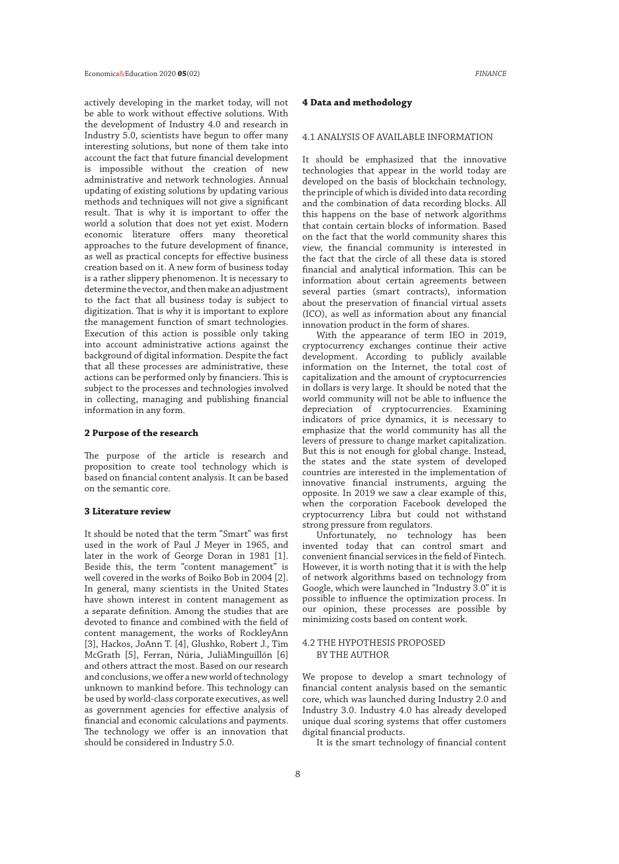actively developing in the market today, will not be able to work without effective solutions. With the development of Industry 4.0 and research in Industry 5.0, scientists have begun to offer many interesting solutions, but none of them take into account the fact that future financial development is impossible without the creation of new administrative and network technologies. Annual updating of existing solutions by updating various methods and techniques will not give a significant result. That is why it is important to offer the world a solution that does not yet exist. Modern economic literature offers many theoretical approaches to the future development of finance, as well as practical concepts for effective business creation based on it. A new form of business today is a rather slippery phenomenon. It is necessary to determine the vector, and then make an adjustment to the fact that all business today is subject to digitization. That is why it is important to explore the management function of smart technologies. Execution of this action is possible only taking into account administrative actions against the background of digital information. Despite the fact that all these processes are administrative, these actions can be performed only by financiers. This is subject to the processes and technologies involved in collecting, managing and publishing financial information in any form.

## **2 Purpose of the research**

The purpose of the article is research and proposition to create tool technology which is based on financial content analysis. It can be based on the semantic core.

#### **3 Literature review**

It should be noted that the term "Smart" was first used in the work of Paul J Meyer in 1965, and later in the work of George Doran in 1981 [1]. Beside this, the term "content management" is well covered in the works of Boiko Bob in 2004 [2]. In general, many scientists in the United States have shown interest in content management as a separate definition. Among the studies that are devoted to finance and combined with the field of content management, the works of RockleyAnn [3], Hackos, JoAnn T. [4], Glushko, Robert J., Tim McGrath [5], Ferran, Núria, JuliàMinguillón [6] and others attract the most. Based on our research and conclusions, we offer a new world of technology unknown to mankind before. This technology can be used by world-class corporate executives, as well as government agencies for effective analysis of financial and economic calculations and payments. The technology we offer is an innovation that should be considered in Industry 5.0.

#### **4 Data and methodology**

## 4.1 ANALYSIS OF AVAILABLE INFORMATION

It should be emphasized that the innovative technologies that appear in the world today are developed on the basis of blockchain technology, the principle of which is divided into data recording and the combination of data recording blocks. All this happens on the base of network algorithms that contain certain blocks of information. Based on the fact that the world community shares this view, the financial community is interested in the fact that the circle of all these data is stored financial and analytical information. This can be information about certain agreements between several parties (smart contracts), information about the preservation of financial virtual assets (ICO), as well as information about any financial innovation product in the form of shares.

With the appearance of term IEO in 2019, cryptocurrency exchanges continue their active development. According to publicly available information on the Internet, the total cost of capitalization and the amount of cryptocurrencies in dollars is very large. It should be noted that the world community will not be able to influence the depreciation of cryptocurrencies. Examining indicators of price dynamics, it is necessary to emphasize that the world community has all the levers of pressure to change market capitalization. But this is not enough for global change. Instead, the states and the state system of developed countries are interested in the implementation of innovative financial instruments, arguing the opposite. In 2019 we saw a clear example of this, when the corporation Facebook developed the cryptocurrency Libra but could not withstand strong pressure from regulators.

Unfortunately, no technology has been invented today that can control smart and convenient financial services in the field of Fintech. However, it is worth noting that it is with the help of network algorithms based on technology from Google, which were launched in "Industry 3.0" it is possible to influence the optimization process. In our opinion, these processes are possible by minimizing costs based on content work.

## 4.2 THE HYPOTHESIS PROPOSED BY THE AUTHOR

We propose to develop a smart technology of financial content analysis based on the semantic core, which was launched during Industry 2.0 and Industry 3.0. Industry 4.0 has already developed unique dual scoring systems that offer customers digital financial products.

It is the smart technology of financial content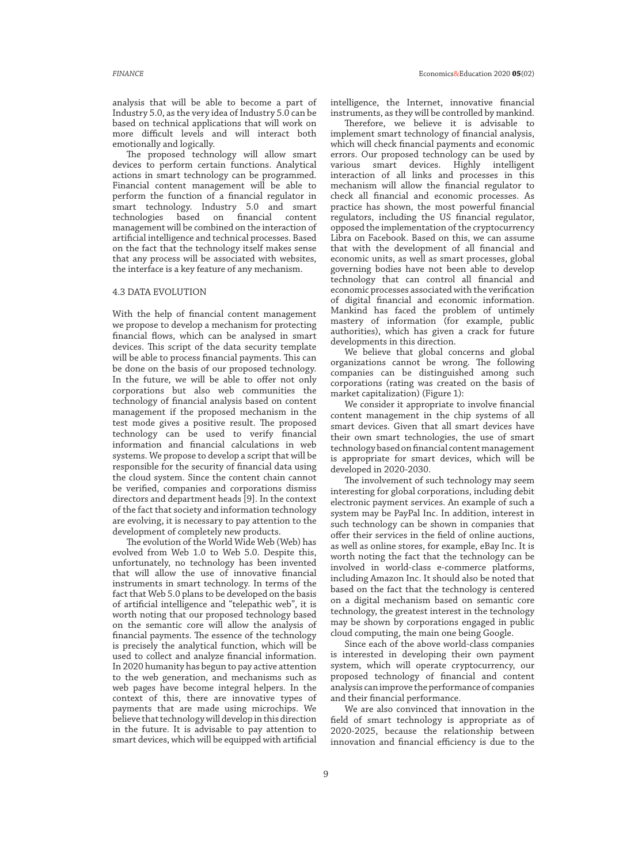analysis that will be able to become a part of Industry 5.0, as the very idea of Industry 5.0 can be based on technical applications that will work on more difficult levels and will interact both emotionally and logically.

The proposed technology will allow smart devices to perform certain functions. Analytical actions in smart technology can be programmed. Financial content management will be able to perform the function of a financial regulator in smart technology. Industry 5.0 and smart technologies based on financial content management will be combined on the interaction of artificial intelligence and technical processes. Based on the fact that the technology itself makes sense that any process will be associated with websites, the interface is a key feature of any mechanism.

## 4.3 DATA EVOLUTION

With the help of financial content management we propose to develop a mechanism for protecting financial flows, which can be analysed in smart devices. This script of the data security template will be able to process financial payments. This can be done on the basis of our proposed technology. In the future, we will be able to offer not only corporations but also web communities the technology of financial analysis based on content management if the proposed mechanism in the test mode gives a positive result. The proposed technology can be used to verify financial information and financial calculations in web systems. We propose to develop a script that will be responsible for the security of financial data using the cloud system. Since the content chain cannot be verified, companies and corporations dismiss directors and department heads [9]. In the context of the fact that society and information technology are evolving, it is necessary to pay attention to the development of completely new products.

The evolution of the World Wide Web (Web) has evolved from Web 1.0 to Web 5.0. Despite this, unfortunately, no technology has been invented that will allow the use of innovative financial instruments in smart technology. In terms of the fact that Web 5.0 plans to be developed on the basis of artificial intelligence and "telepathic web", it is worth noting that our proposed technology based on the semantic core will allow the analysis of financial payments. The essence of the technology is precisely the analytical function, which will be used to collect and analyze financial information. In 2020 humanity has begun to pay active attention to the web generation, and mechanisms such as web pages have become integral helpers. In the context of this, there are innovative types of payments that are made using microchips. We believe that technology will develop in this direction in the future. It is advisable to pay attention to smart devices, which will be equipped with artificial intelligence, the Internet, innovative financial instruments, as they will be controlled by mankind.

Therefore, we believe it is advisable to implement smart technology of financial analysis, which will check financial payments and economic errors. Our proposed technology can be used by various smart devices. Highly intelligent interaction of all links and processes in this mechanism will allow the financial regulator to check all financial and economic processes. As practice has shown, the most powerful financial regulators, including the US financial regulator, opposed the implementation of the cryptocurrency Libra on Facebook. Based on this, we can assume that with the development of all financial and economic units, as well as smart processes, global governing bodies have not been able to develop technology that can control all financial and economic processes associated with the verification of digital financial and economic information. Mankind has faced the problem of untimely mastery of information (for example, public authorities), which has given a crack for future developments in this direction.

We believe that global concerns and global organizations cannot be wrong. The following companies can be distinguished among such corporations (rating was created on the basis of market capitalization) (Figure 1):

We consider it appropriate to involve financial content management in the chip systems of all smart devices. Given that all smart devices have their own smart technologies, the use of smart technology based on financial content management is appropriate for smart devices, which will be developed in 2020-2030.

The involvement of such technology may seem interesting for global corporations, including debit electronic payment services. An example of such a system may be PayPal Inc. In addition, interest in such technology can be shown in companies that offer their services in the field of online auctions, as well as online stores, for example, eBay Inc. It is worth noting the fact that the technology can be involved in world-class e-commerce platforms, including Amazon Inc. It should also be noted that based on the fact that the technology is centered on a digital mechanism based on semantic core technology, the greatest interest in the technology may be shown by corporations engaged in public cloud computing, the main one being Google.

Since each of the above world-class companies is interested in developing their own payment system, which will operate cryptocurrency, our proposed technology of financial and content analysis can improve the performance of companies and their financial performance.

We are also convinced that innovation in the field of smart technology is appropriate as of 2020-2025, because the relationship between innovation and financial efficiency is due to the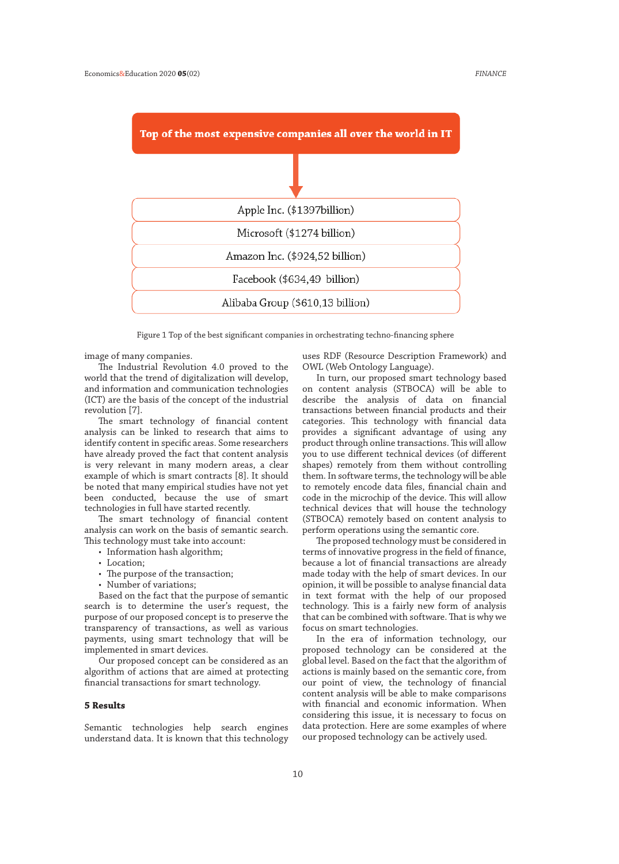

Figure 1 Top of the best significant companies in orchestrating techno-financing sphere

image of many companies.

The Industrial Revolution 4.0 proved to the world that the trend of digitalization will develop, and information and communication technologies (ICT) are the basis of the concept of the industrial revolution [7].

The smart technology of financial content analysis can be linked to research that aims to identify content in specific areas. Some researchers have already proved the fact that content analysis is very relevant in many modern areas, a clear example of which is smart contracts [8]. It should be noted that many empirical studies have not yet been conducted, because the use of smart technologies in full have started recently.

The smart technology of financial content analysis can work on the basis of semantic search. This technology must take into account:

- Information hash algorithm;
- Location;
- The purpose of the transaction;
- Number of variations;

Based on the fact that the purpose of semantic search is to determine the user's request, the purpose of our proposed concept is to preserve the transparency of transactions, as well as various payments, using smart technology that will be implemented in smart devices.

Our proposed concept can be considered as an algorithm of actions that are aimed at protecting financial transactions for smart technology.

#### **5 Results**

Semantic technologies help search engines understand data. It is known that this technology

uses RDF (Resource Description Framework) and OWL (Web Ontology Language).

In turn, our proposed smart technology based on content analysis (STBOCA) will be able to describe the analysis of data on financial transactions between financial products and their categories. This technology with financial data provides a significant advantage of using any product through online transactions. This will allow you to use different technical devices (of different shapes) remotely from them without controlling them. In software terms, the technology will be able to remotely encode data files, financial chain and code in the microchip of the device. This will allow technical devices that will house the technology (STBOCA) remotely based on content analysis to perform operations using the semantic core.

The proposed technology must be considered in terms of innovative progress in the field of finance, because a lot of financial transactions are already made today with the help of smart devices. In our opinion, it will be possible to analyse financial data in text format with the help of our proposed technology. This is a fairly new form of analysis that can be combined with software. That is why we focus on smart technologies.

In the era of information technology, our proposed technology can be considered at the global level. Based on the fact that the algorithm of actions is mainly based on the semantic core, from our point of view, the technology of financial content analysis will be able to make comparisons with financial and economic information. When considering this issue, it is necessary to focus on data protection. Here are some examples of where our proposed technology can be actively used.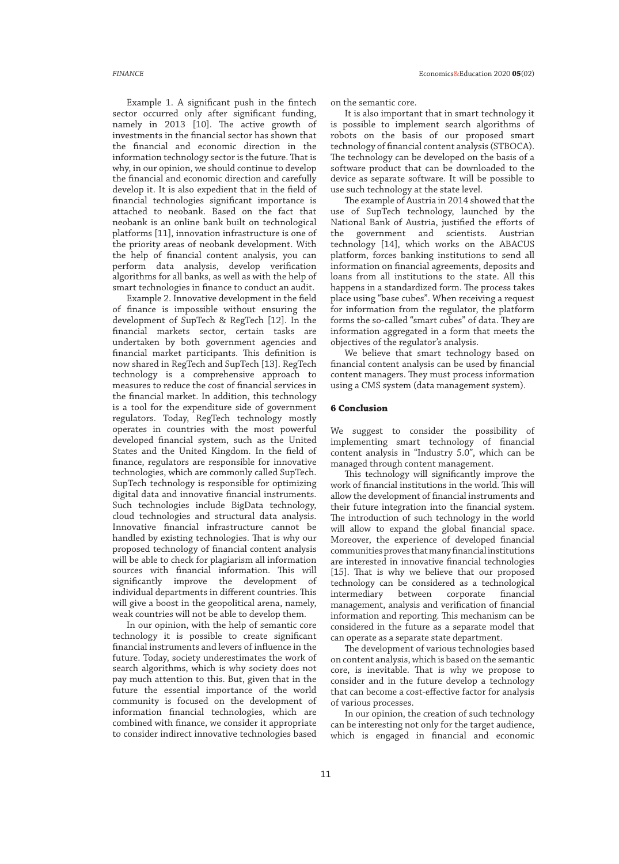Example 1. A significant push in the fintech sector occurred only after significant funding, namely in 2013 [10]. The active growth of investments in the financial sector has shown that the financial and economic direction in the information technology sector is the future. That is why, in our opinion, we should continue to develop the financial and economic direction and carefully develop it. It is also expedient that in the field of financial technologies significant importance is attached to neobank. Based on the fact that neobank is an online bank built on technological platforms [11], innovation infrastructure is one of the priority areas of neobank development. With the help of financial content analysis, you can perform data analysis, develop verification algorithms for all banks, as well as with the help of smart technologies in finance to conduct an audit.

Example 2. Innovative development in the field of finance is impossible without ensuring the development of SupTech & RegTech [12]. In the financial markets sector, certain tasks are undertaken by both government agencies and financial market participants. This definition is now shared in RegTech and SupTech [13]. RegTech technology is a comprehensive approach to measures to reduce the cost of financial services in the financial market. In addition, this technology is a tool for the expenditure side of government regulators. Today, RegTech technology mostly operates in countries with the most powerful developed financial system, such as the United States and the United Kingdom. In the field of finance, regulators are responsible for innovative technologies, which are commonly called SupTech. SupTech technology is responsible for optimizing digital data and innovative financial instruments. Such technologies include BigData technology, cloud technologies and structural data analysis. Innovative financial infrastructure cannot be handled by existing technologies. That is why our proposed technology of financial content analysis will be able to check for plagiarism all information sources with financial information. This will significantly improve the development of individual departments in different countries. This will give a boost in the geopolitical arena, namely, weak countries will not be able to develop them.

In our opinion, with the help of semantic core technology it is possible to create significant financial instruments and levers of influence in the future. Today, society underestimates the work of search algorithms, which is why society does not pay much attention to this. But, given that in the future the essential importance of the world community is focused on the development of information financial technologies, which are combined with finance, we consider it appropriate to consider indirect innovative technologies based

on the semantic core.

It is also important that in smart technology it is possible to implement search algorithms of robots on the basis of our proposed smart technology of financial content analysis (STBOCA). The technology can be developed on the basis of a software product that can be downloaded to the device as separate software. It will be possible to use such technology at the state level.

The example of Austria in 2014 showed that the use of SupTech technology, launched by the National Bank of Austria, justified the efforts of the government and scientists. Austrian technology [14], which works on the ABACUS platform, forces banking institutions to send all information on financial agreements, deposits and loans from all institutions to the state. All this happens in a standardized form. The process takes place using "base cubes". When receiving a request for information from the regulator, the platform forms the so-called "smart cubes" of data. They are information aggregated in a form that meets the objectives of the regulator's analysis.

We believe that smart technology based on financial content analysis can be used by financial content managers. They must process information using a CMS system (data management system).

## **6 Conclusion**

We suggest to consider the possibility of implementing smart technology of financial content analysis in "Industry 5.0", which can be managed through content management.

This technology will significantly improve the work of financial institutions in the world. This will allow the development of financial instruments and their future integration into the financial system. The introduction of such technology in the world will allow to expand the global financial space. Moreover, the experience of developed financial communities proves that many financial institutions are interested in innovative financial technologies [15]. That is why we believe that our proposed technology can be considered as a technological intermediary management, analysis and verification of financial information and reporting. This mechanism can be considered in the future as a separate model that can operate as a separate state department.

The development of various technologies based on content analysis, which is based on the semantic core, is inevitable. That is why we propose to consider and in the future develop a technology that can become a cost-effective factor for analysis of various processes.

In our opinion, the creation of such technology can be interesting not only for the target audience, which is engaged in financial and economic